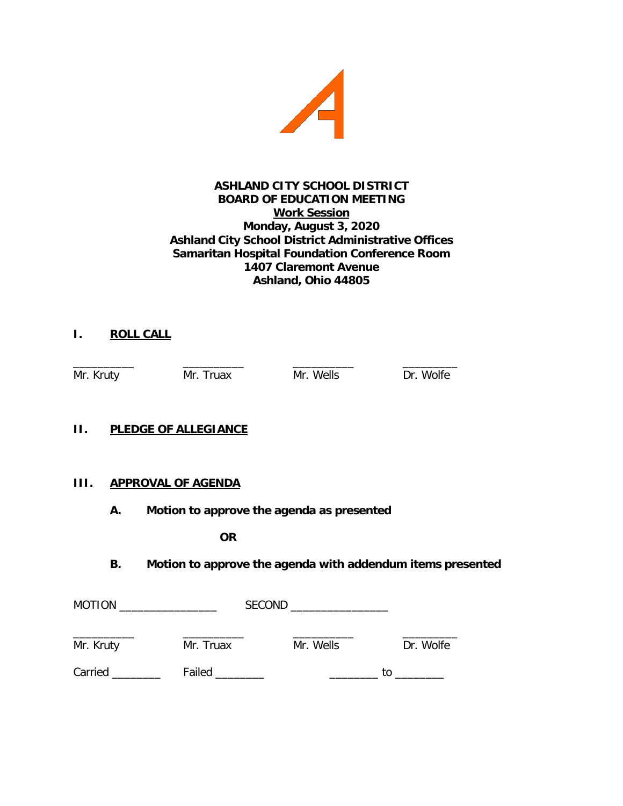

#### **ASHLAND CITY SCHOOL DISTRICT BOARD OF EDUCATION MEETING Work Session Monday, August 3, 2020 Ashland City School District Administrative Offices Samaritan Hospital Foundation Conference Room 1407 Claremont Avenue Ashland, Ohio 44805**

# **I. ROLL CALL**

\_\_\_\_\_\_\_\_\_\_ \_\_\_\_\_\_\_\_\_\_ \_\_\_\_\_\_\_\_\_\_ \_\_\_\_\_\_\_\_\_ Mr. Kruty Mr. Truax Mr. Wells Dr. Wolfe

# **II. PLEDGE OF ALLEGIANCE**

# **III. APPROVAL OF AGENDA**

**A. Motion to approve the agenda as presented**

**OR**

# **B. Motion to approve the agenda with addendum items presented**

| <b>MOTION</b> |           | <b>SECOND</b> |           |    |           |
|---------------|-----------|---------------|-----------|----|-----------|
| Mr. Kruty     | Mr. Truax |               | Mr. Wells |    | Dr. Wolfe |
| Carried __    | Failed    |               |           | tΩ |           |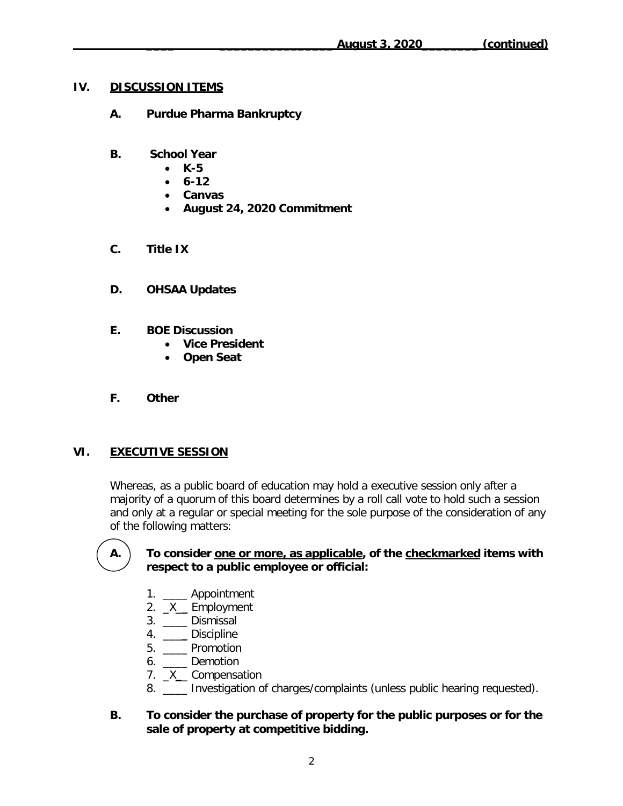#### **IV. DISCUSSION ITEMS**

- **A. Purdue Pharma Bankruptcy**
- **B. School Year**
	- **K-5**
	- **6-12**
	- **Canvas**
	- **August 24, 2020 Commitment**
- **C. Title IX**
- **D. OHSAA Updates**
- **E. BOE Discussion**
	- **Vice President**
	- **Open Seat**
- **F. Other**

# **VI. EXECUTIVE SESSION**

Whereas, as a public board of education may hold a executive session only after a majority of a quorum of this board determines by a roll call vote to hold such a session and only at a regular or special meeting for the sole purpose of the consideration of any of the following matters:

#### **A. To consider one or more, as applicable, of the checkmarked items with respect to a public employee or official:**

- 1. **Appointment**
- 2.  $X$  Employment
- 3. \_\_\_\_ Dismissal
- 4. \_\_\_\_ Discipline
- 5. \_\_\_\_ Promotion
- 6. \_\_\_\_ Demotion
- 7. \_X\_\_ Compensation
- 8. \_\_\_\_ Investigation of charges/complaints (unless public hearing requested).

#### **B. To consider the purchase of property for the public purposes or for the sale of property at competitive bidding.**